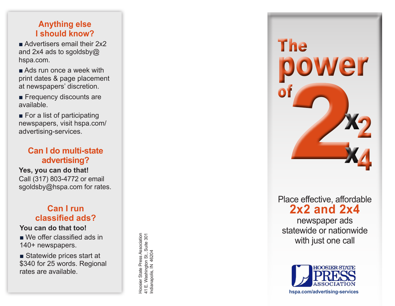#### **Anything else I should know?**

■ Advertisers email their 2x2 and 2x4 ads to sgoldsby@ hspa.com.

■ Ads run once a week with print dates & page placement at newspapers' discretion.

■ Frequency discounts are available.

■ For a list of participating newspapers, visit hspa.com/ advertising-services.

### **Can I do multi-state advertising?**

**Yes, you can do that!** Call (317) 803-4772 or email sgoldsby@hspa.com for rates.

### **Can I run classified ads?**

#### **You can do that too!**

■ We offer classified ads in 140+ newspapers.

■ Statewide prices start at \$340 for 25 words. Regional rates are available.

Hoosier State Press Association<br>41 E. Washington St., Suite 301<br>Indianapolis, IN 46204 Hoosier State Press Association 41 E. Washington St., Suite 301 Indianapolis, IN 46204

wer The of Face of Ecclive, affords<br>
2x2 and 2x4<br>
newspaper ads<br>
atewide or nationw<br>
with just one call 2<br>4

Place effective, affordable **2x2 and 2x4** 

newspaper ads statewide or nationwide<br>with just one call